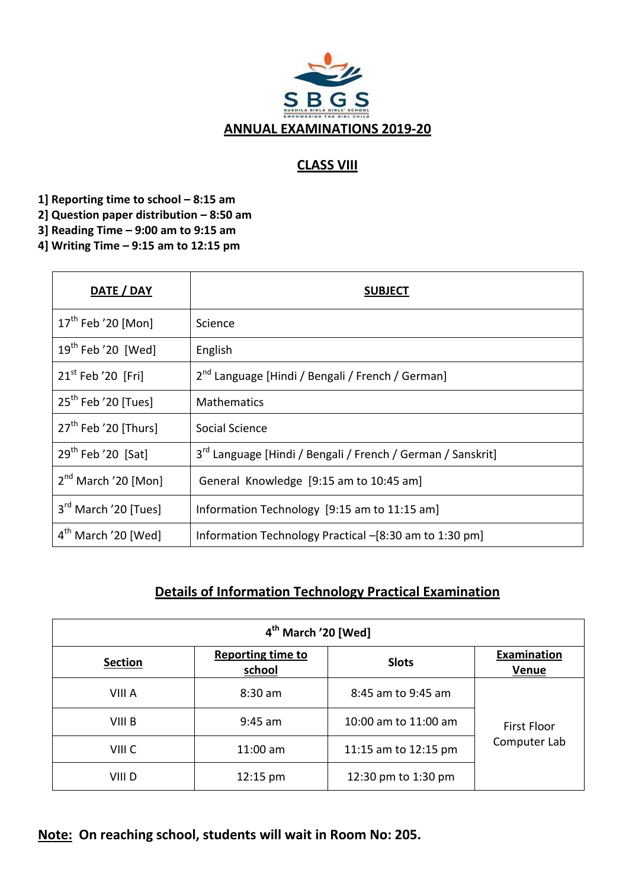

## **CLASS VIII**

**1] Reporting time to school – 8:15 am** 

- **2] Question paper distribution – 8:50 am**
- **3] Reading Time – 9:00 am to 9:15 am**

**4] Writing Time – 9:15 am to 12:15 pm**

| DATE / DAY                       | <b>SUBJECT</b>                                                          |
|----------------------------------|-------------------------------------------------------------------------|
| $17th$ Feb '20 [Mon]             | Science                                                                 |
| $19th$ Feb '20 [Wed]             | English                                                                 |
| $21st$ Feb '20 [Fri]             | 2 <sup>nd</sup> Language [Hindi / Bengali / French / German]            |
| $25th$ Feb '20 [Tues]            | <b>Mathematics</b>                                                      |
| 27 <sup>th</sup> Feb '20 [Thurs] | Social Science                                                          |
| $29th$ Feb '20 [Sat]             | 3 <sup>rd</sup> Language [Hindi / Bengali / French / German / Sanskrit] |
| $2nd$ March '20 [Mon]            | General Knowledge [9:15 am to 10:45 am]                                 |
| 3 <sup>rd</sup> March '20 [Tues] | Information Technology [9:15 am to 11:15 am]                            |
| $4th$ March '20 [Wed]            | Information Technology Practical -[8:30 am to 1:30 pm]                  |

# **Details of Information Technology Practical Examination**

| 4 <sup>th</sup> March '20 [Wed] |                                    |                                      |                             |  |
|---------------------------------|------------------------------------|--------------------------------------|-----------------------------|--|
| <b>Section</b>                  | <b>Reporting time to</b><br>school | <b>Slots</b>                         | Examination<br><b>Venue</b> |  |
| VIII A                          | $8:30$ am                          | 8:45 am to 9:45 am                   |                             |  |
| VIII B                          | $9:45$ am                          | 10:00 am to 11:00 am                 | <b>First Floor</b>          |  |
| VIII C                          | $11:00$ am                         | Computer Lab<br>11:15 am to 12:15 pm |                             |  |
| VIII D                          | $12:15 \text{ pm}$                 | 12:30 pm to 1:30 pm                  |                             |  |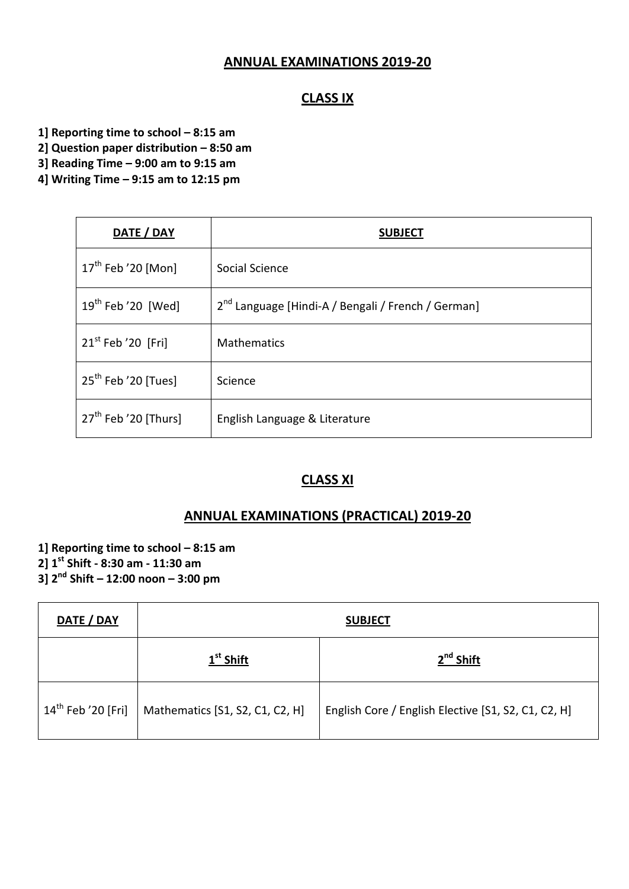#### **ANNUAL EXAMINATIONS 2019-20**

#### **CLASS IX**

- **1] Reporting time to school – 8:15 am**
- **2] Question paper distribution – 8:50 am**
- **3] Reading Time – 9:00 am to 9:15 am**
- **4] Writing Time – 9:15 am to 12:15 pm**

| DATE / DAY                     | <b>SUBJECT</b>                                                 |
|--------------------------------|----------------------------------------------------------------|
| $17^{\text{th}}$ Feb '20 [Mon] | Social Science                                                 |
| $19^{th}$ Feb '20 [Wed]        | 2 <sup>nd</sup> Language [Hindi-A / Bengali / French / German] |
| $21st$ Feb '20 [Fri]           | <b>Mathematics</b>                                             |
| $25th$ Feb '20 [Tues]          | Science                                                        |
| $27th$ Feb '20 [Thurs]         | English Language & Literature                                  |

#### **CLASS XI**

#### **ANNUAL EXAMINATIONS (PRACTICAL) 2019-20**

**1] Reporting time to school – 8:15 am 2] 1st Shift - 8:30 am - 11:30 am 3] 2nd Shift – 12:00 noon – 3:00 pm**

| DATE / DAY                     | <b>SUBJECT</b>                  |                                                     |  |
|--------------------------------|---------------------------------|-----------------------------------------------------|--|
|                                | $1st$ Shift                     | $2nd$ Shift                                         |  |
| $14^{\text{th}}$ Feb '20 [Fri] | Mathematics [S1, S2, C1, C2, H] | English Core / English Elective [S1, S2, C1, C2, H] |  |